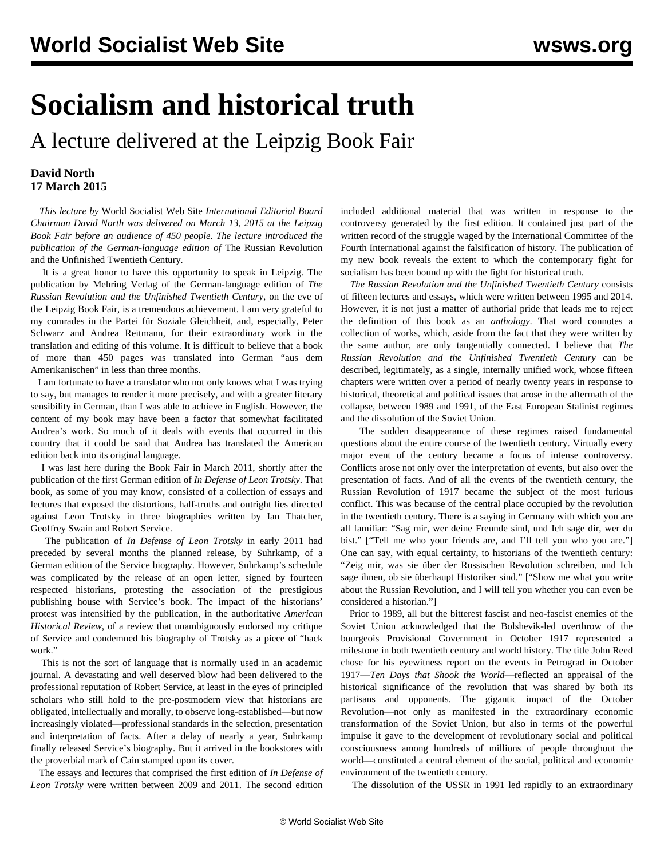## **Socialism and historical truth**

A lecture delivered at the Leipzig Book Fair

## **David North 17 March 2015**

 *This lecture by* World Socialist Web Site *International Editorial Board Chairman David North was delivered on March 13, 2015 at the Leipzig Book Fair before an audience of 450 people. The lecture introduced the publication of the German-language edition of* The Russian Revolution and the Unfinished Twentieth Century*.*

 It is a great honor to have this opportunity to speak in Leipzig. The publication by Mehring Verlag of the German-language edition of *The Russian Revolution and the Unfinished Twentieth Century*, on the eve of the Leipzig Book Fair, is a tremendous achievement. I am very grateful to my comrades in the Partei für Soziale Gleichheit, and, especially, Peter Schwarz and Andrea Reitmann, for their extraordinary work in the translation and editing of this volume. It is difficult to believe that a book of more than 450 pages was translated into German "aus dem Amerikanischen" in less than three months.

 I am fortunate to have a translator who not only knows what I was trying to say, but manages to render it more precisely, and with a greater literary sensibility in German, than I was able to achieve in English. However, the content of my book may have been a factor that somewhat facilitated Andrea's work. So much of it deals with events that occurred in this country that it could be said that Andrea has translated the American edition back into its original language.

 I was last here during the Book Fair in March 2011, shortly after the publication of the first German edition of *In Defense of Leon Trotsky*. That book, as some of you may know, consisted of a collection of essays and lectures that exposed the distortions, half-truths and outright lies directed against Leon Trotsky in three biographies written by Ian Thatcher, Geoffrey Swain and Robert Service.

 The publication of *In Defense of Leon Trotsky* in early 2011 had preceded by several months the planned release, by Suhrkamp, of a German edition of the Service biography. However, Suhrkamp's schedule was complicated by the release of an open letter, signed by fourteen respected historians, protesting the association of the prestigious publishing house with Service's book. The impact of the historians' protest was intensified by the publication, in the authoritative *American Historical Review,* of a review that unambiguously endorsed my critique of Service and condemned his biography of Trotsky as a piece of "hack work."

 This is not the sort of language that is normally used in an academic journal. A devastating and well deserved blow had been delivered to the professional reputation of Robert Service, at least in the eyes of principled scholars who still hold to the pre-postmodern view that historians are obligated, intellectually and morally, to observe long-established—but now increasingly violated—professional standards in the selection, presentation and interpretation of facts. After a delay of nearly a year, Suhrkamp finally released Service's biography. But it arrived in the bookstores with the proverbial mark of Cain stamped upon its cover.

 The essays and lectures that comprised the first edition of *In Defense of Leon Trotsky* were written between 2009 and 2011. The second edition

included additional material that was written in response to the controversy generated by the first edition. It contained just part of the written record of the struggle waged by the International Committee of the Fourth International against the falsification of history. The publication of my new book reveals the extent to which the contemporary fight for socialism has been bound up with the fight for historical truth.

 *The Russian Revolution and the Unfinished Twentieth Century* consists of fifteen lectures and essays, which were written between 1995 and 2014. However, it is not just a matter of authorial pride that leads me to reject the definition of this book as an *anthology*. That word connotes a collection of works, which, aside from the fact that they were written by the same author, are only tangentially connected. I believe that *The Russian Revolution and the Unfinished Twentieth Century* can be described, legitimately, as a single, internally unified work, whose fifteen chapters were written over a period of nearly twenty years in response to historical, theoretical and political issues that arose in the aftermath of the collapse, between 1989 and 1991, of the East European Stalinist regimes and the dissolution of the Soviet Union.

 The sudden disappearance of these regimes raised fundamental questions about the entire course of the twentieth century. Virtually every major event of the century became a focus of intense controversy. Conflicts arose not only over the interpretation of events, but also over the presentation of facts. And of all the events of the twentieth century, the Russian Revolution of 1917 became the subject of the most furious conflict. This was because of the central place occupied by the revolution in the twentieth century. There is a saying in Germany with which you are all familiar: "Sag mir, wer deine Freunde sind, und Ich sage dir, wer du bist." ["Tell me who your friends are, and I'll tell you who you are."] One can say, with equal certainty, to historians of the twentieth century: "Zeig mir, was sie über der Russischen Revolution schreiben, und Ich sage ihnen, ob sie überhaupt Historiker sind." ["Show me what you write about the Russian Revolution, and I will tell you whether you can even be considered a historian."]

 Prior to 1989, all but the bitterest fascist and neo-fascist enemies of the Soviet Union acknowledged that the Bolshevik-led overthrow of the bourgeois Provisional Government in October 1917 represented a milestone in both twentieth century and world history. The title John Reed chose for his eyewitness report on the events in Petrograd in October 1917—*Ten Days that Shook the World*—reflected an appraisal of the historical significance of the revolution that was shared by both its partisans and opponents. The gigantic impact of the October Revolution—not only as manifested in the extraordinary economic transformation of the Soviet Union, but also in terms of the powerful impulse it gave to the development of revolutionary social and political consciousness among hundreds of millions of people throughout the world—constituted a central element of the social, political and economic environment of the twentieth century.

The dissolution of the USSR in 1991 led rapidly to an extraordinary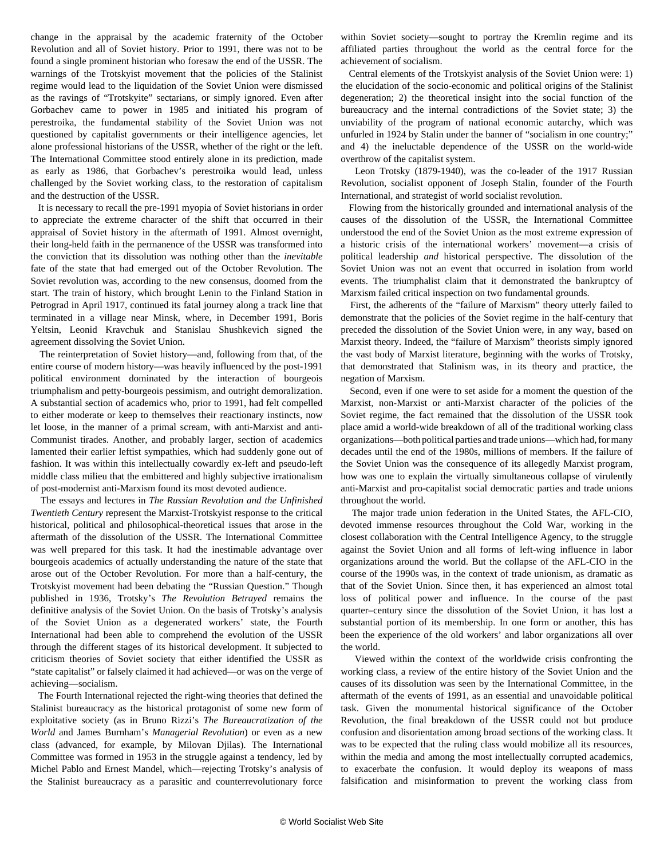change in the appraisal by the academic fraternity of the October Revolution and all of Soviet history. Prior to 1991, there was not to be found a single prominent historian who foresaw the end of the USSR. The warnings of the Trotskyist movement that the policies of the Stalinist regime would lead to the liquidation of the Soviet Union were dismissed as the ravings of "Trotskyite" sectarians, or simply ignored. Even after Gorbachev came to power in 1985 and initiated his program of perestroika, the fundamental stability of the Soviet Union was not questioned by capitalist governments or their intelligence agencies, let alone professional historians of the USSR, whether of the right or the left. The International Committee stood entirely alone in its prediction, made as early as 1986, that Gorbachev's perestroika would lead, unless challenged by the Soviet working class, to the restoration of capitalism and the destruction of the USSR.

 It is necessary to recall the pre-1991 myopia of Soviet historians in order to appreciate the extreme character of the shift that occurred in their appraisal of Soviet history in the aftermath of 1991. Almost overnight, their long-held faith in the permanence of the USSR was transformed into the conviction that its dissolution was nothing other than the *inevitable* fate of the state that had emerged out of the October Revolution. The Soviet revolution was, according to the new consensus, doomed from the start. The train of history, which brought Lenin to the Finland Station in Petrograd in April 1917, continued its fatal journey along a track line that terminated in a village near Minsk, where, in December 1991, Boris Yeltsin, Leonid Kravchuk and Stanislau Shushkevich signed the agreement dissolving the Soviet Union.

 The reinterpretation of Soviet history—and, following from that, of the entire course of modern history—was heavily influenced by the post-1991 political environment dominated by the interaction of bourgeois triumphalism and petty-bourgeois pessimism, and outright demoralization. A substantial section of academics who, prior to 1991, had felt compelled to either moderate or keep to themselves their reactionary instincts, now let loose, in the manner of a primal scream, with anti-Marxist and anti-Communist tirades. Another, and probably larger, section of academics lamented their earlier leftist sympathies, which had suddenly gone out of fashion. It was within this intellectually cowardly ex-left and pseudo-left middle class milieu that the embittered and highly subjective irrationalism of post-modernist anti-Marxism found its most devoted audience.

 The essays and lectures in *The Russian Revolution and the Unfinished Twentieth Century* represent the Marxist-Trotskyist response to the critical historical, political and philosophical-theoretical issues that arose in the aftermath of the dissolution of the USSR. The International Committee was well prepared for this task. It had the inestimable advantage over bourgeois academics of actually understanding the nature of the state that arose out of the October Revolution. For more than a half-century, the Trotskyist movement had been debating the "Russian Question." Though published in 1936, Trotsky's *The Revolution Betrayed* remains the definitive analysis of the Soviet Union. On the basis of Trotsky's analysis of the Soviet Union as a degenerated workers' state, the Fourth International had been able to comprehend the evolution of the USSR through the different stages of its historical development. It subjected to criticism theories of Soviet society that either identified the USSR as "state capitalist" or falsely claimed it had achieved—or was on the verge of achieving—socialism.

 The Fourth International rejected the right-wing theories that defined the Stalinist bureaucracy as the historical protagonist of some new form of exploitative society (as in Bruno Rizzi's *The Bureaucratization of the World* and James Burnham's *Managerial Revolution*) or even as a new class (advanced, for example, by Milovan Djilas). The International Committee was formed in 1953 in the struggle against a tendency, led by Michel Pablo and Ernest Mandel, which—rejecting Trotsky's analysis of the Stalinist bureaucracy as a parasitic and counterrevolutionary force

within Soviet society—sought to portray the Kremlin regime and its affiliated parties throughout the world as the central force for the achievement of socialism.

 Central elements of the Trotskyist analysis of the Soviet Union were: 1) the elucidation of the socio-economic and political origins of the Stalinist degeneration; 2) the theoretical insight into the social function of the bureaucracy and the internal contradictions of the Soviet state; 3) the unviability of the program of national economic autarchy, which was unfurled in 1924 by Stalin under the banner of "socialism in one country;" and 4) the ineluctable dependence of the USSR on the world-wide overthrow of the capitalist system.

 Leon Trotsky (1879-1940), was the co-leader of the 1917 Russian Revolution, socialist opponent of Joseph Stalin, founder of the Fourth International, and strategist of world socialist revolution.

 Flowing from the historically grounded and international analysis of the causes of the dissolution of the USSR, the International Committee understood the end of the Soviet Union as the most extreme expression of a historic crisis of the international workers' movement—a crisis of political leadership *and* historical perspective. The dissolution of the Soviet Union was not an event that occurred in isolation from world events. The triumphalist claim that it demonstrated the bankruptcy of Marxism failed critical inspection on two fundamental grounds.

 First, the adherents of the "failure of Marxism" theory utterly failed to demonstrate that the policies of the Soviet regime in the half-century that preceded the dissolution of the Soviet Union were, in any way, based on Marxist theory. Indeed, the "failure of Marxism" theorists simply ignored the vast body of Marxist literature, beginning with the works of Trotsky, that demonstrated that Stalinism was, in its theory and practice, the negation of Marxism.

 Second, even if one were to set aside for a moment the question of the Marxist, non-Marxist or anti-Marxist character of the policies of the Soviet regime, the fact remained that the dissolution of the USSR took place amid a world-wide breakdown of all of the traditional working class organizations—both political parties and trade unions—which had, for many decades until the end of the 1980s, millions of members. If the failure of the Soviet Union was the consequence of its allegedly Marxist program, how was one to explain the virtually simultaneous collapse of virulently anti-Marxist and pro-capitalist social democratic parties and trade unions throughout the world.

 The major trade union federation in the United States, the AFL-CIO, devoted immense resources throughout the Cold War, working in the closest collaboration with the Central Intelligence Agency, to the struggle against the Soviet Union and all forms of left-wing influence in labor organizations around the world. But the collapse of the AFL-CIO in the course of the 1990s was, in the context of trade unionism, as dramatic as that of the Soviet Union. Since then, it has experienced an almost total loss of political power and influence. In the course of the past quarter–century since the dissolution of the Soviet Union, it has lost a substantial portion of its membership. In one form or another, this has been the experience of the old workers' and labor organizations all over the world.

 Viewed within the context of the worldwide crisis confronting the working class, a review of the entire history of the Soviet Union and the causes of its dissolution was seen by the International Committee, in the aftermath of the events of 1991, as an essential and unavoidable political task. Given the monumental historical significance of the October Revolution, the final breakdown of the USSR could not but produce confusion and disorientation among broad sections of the working class. It was to be expected that the ruling class would mobilize all its resources, within the media and among the most intellectually corrupted academics, to exacerbate the confusion. It would deploy its weapons of mass falsification and misinformation to prevent the working class from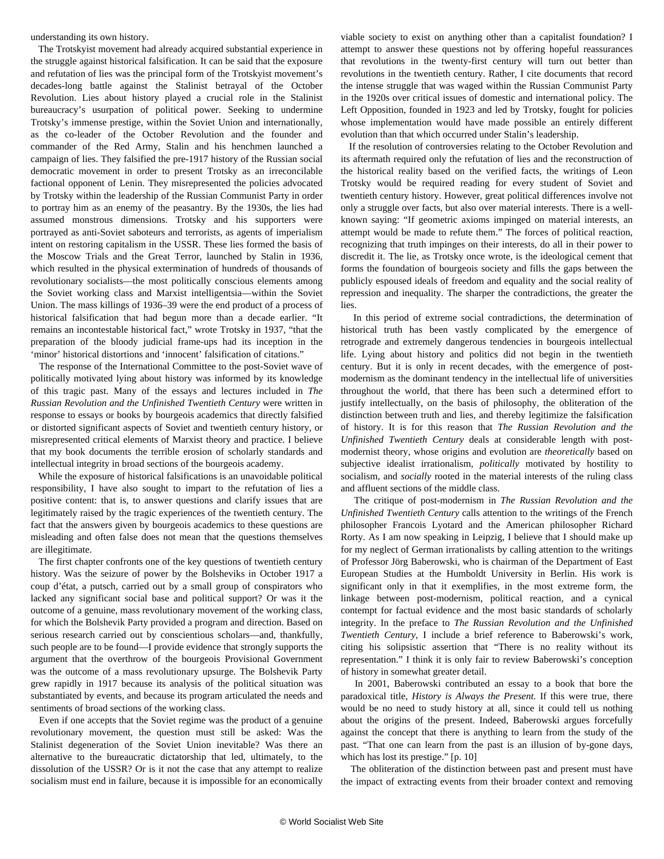understanding its own history.

 The Trotskyist movement had already acquired substantial experience in the struggle against historical falsification. It can be said that the exposure and refutation of lies was the principal form of the Trotskyist movement's decades-long battle against the Stalinist betrayal of the October Revolution. Lies about history played a crucial role in the Stalinist bureaucracy's usurpation of political power. Seeking to undermine Trotsky's immense prestige, within the Soviet Union and internationally, as the co-leader of the October Revolution and the founder and commander of the Red Army, Stalin and his henchmen launched a campaign of lies. They falsified the pre-1917 history of the Russian social democratic movement in order to present Trotsky as an irreconcilable factional opponent of Lenin. They misrepresented the policies advocated by Trotsky within the leadership of the Russian Communist Party in order to portray him as an enemy of the peasantry. By the 1930s, the lies had assumed monstrous dimensions. Trotsky and his supporters were portrayed as anti-Soviet saboteurs and terrorists, as agents of imperialism intent on restoring capitalism in the USSR. These lies formed the basis of the Moscow Trials and the Great Terror, launched by Stalin in 1936, which resulted in the physical extermination of hundreds of thousands of revolutionary socialists—the most politically conscious elements among the Soviet working class and Marxist intelligentsia—within the Soviet Union. The mass killings of 1936–39 were the end product of a process of historical falsification that had begun more than a decade earlier. "It remains an incontestable historical fact," wrote Trotsky in 1937, "that the preparation of the bloody judicial frame-ups had its inception in the 'minor' historical distortions and 'innocent' falsification of citations."

 The response of the International Committee to the post-Soviet wave of politically motivated lying about history was informed by its knowledge of this tragic past. Many of the essays and lectures included in *The Russian Revolution and the Unfinished Twentieth Century* were written in response to essays or books by bourgeois academics that directly falsified or distorted significant aspects of Soviet and twentieth century history, or misrepresented critical elements of Marxist theory and practice. I believe that my book documents the terrible erosion of scholarly standards and intellectual integrity in broad sections of the bourgeois academy.

 While the exposure of historical falsifications is an unavoidable political responsibility, I have also sought to impart to the refutation of lies a positive content: that is, to answer questions and clarify issues that are legitimately raised by the tragic experiences of the twentieth century. The fact that the answers given by bourgeois academics to these questions are misleading and often false does not mean that the questions themselves are illegitimate.

 The first chapter confronts one of the key questions of twentieth century history. Was the seizure of power by the Bolsheviks in October 1917 a coup d'état, a putsch, carried out by a small group of conspirators who lacked any significant social base and political support? Or was it the outcome of a genuine, mass revolutionary movement of the working class, for which the Bolshevik Party provided a program and direction. Based on serious research carried out by conscientious scholars—and, thankfully, such people are to be found—I provide evidence that strongly supports the argument that the overthrow of the bourgeois Provisional Government was the outcome of a mass revolutionary upsurge. The Bolshevik Party grew rapidly in 1917 because its analysis of the political situation was substantiated by events, and because its program articulated the needs and sentiments of broad sections of the working class.

 Even if one accepts that the Soviet regime was the product of a genuine revolutionary movement, the question must still be asked: Was the Stalinist degeneration of the Soviet Union inevitable? Was there an alternative to the bureaucratic dictatorship that led, ultimately, to the dissolution of the USSR? Or is it not the case that any attempt to realize socialism must end in failure, because it is impossible for an economically viable society to exist on anything other than a capitalist foundation? I attempt to answer these questions not by offering hopeful reassurances that revolutions in the twenty-first century will turn out better than revolutions in the twentieth century. Rather, I cite documents that record the intense struggle that was waged within the Russian Communist Party in the 1920s over critical issues of domestic and international policy. The Left Opposition, founded in 1923 and led by Trotsky, fought for policies whose implementation would have made possible an entirely different evolution than that which occurred under Stalin's leadership.

 If the resolution of controversies relating to the October Revolution and its aftermath required only the refutation of lies and the reconstruction of the historical reality based on the verified facts, the writings of Leon Trotsky would be required reading for every student of Soviet and twentieth century history. However, great political differences involve not only a struggle over facts, but also over material interests. There is a wellknown saying: "If geometric axioms impinged on material interests, an attempt would be made to refute them." The forces of political reaction, recognizing that truth impinges on their interests, do all in their power to discredit it. The lie, as Trotsky once wrote, is the ideological cement that forms the foundation of bourgeois society and fills the gaps between the publicly espoused ideals of freedom and equality and the social reality of repression and inequality. The sharper the contradictions, the greater the lies.

 In this period of extreme social contradictions, the determination of historical truth has been vastly complicated by the emergence of retrograde and extremely dangerous tendencies in bourgeois intellectual life. Lying about history and politics did not begin in the twentieth century. But it is only in recent decades, with the emergence of postmodernism as the dominant tendency in the intellectual life of universities throughout the world, that there has been such a determined effort to justify intellectually, on the basis of philosophy, the obliteration of the distinction between truth and lies, and thereby legitimize the falsification of history. It is for this reason that *The Russian Revolution and the Unfinished Twentieth Century* deals at considerable length with postmodernist theory, whose origins and evolution are *theoretically* based on subjective idealist irrationalism, *politically* motivated by hostility to socialism, and *socially* rooted in the material interests of the ruling class and affluent sections of the middle class.

 The critique of post-modernism in *The Russian Revolution and the Unfinished Twentieth Century* calls attention to the writings of the French philosopher Francois Lyotard and the American philosopher Richard Rorty. As I am now speaking in Leipzig, I believe that I should make up for my neglect of German irrationalists by calling attention to the writings of Professor Jörg Baberowski, who is chairman of the Department of East European Studies at the Humboldt University in Berlin. His work is significant only in that it exemplifies, in the most extreme form, the linkage between post-modernism, political reaction, and a cynical contempt for factual evidence and the most basic standards of scholarly integrity. In the preface to *The Russian Revolution and the Unfinished Twentieth Century,* I include a brief reference to Baberowski's work, citing his solipsistic assertion that "There is no reality without its representation." I think it is only fair to review Baberowski's conception of history in somewhat greater detail.

 In 2001, Baberowski contributed an essay to a book that bore the paradoxical title, *History is Always the Present.* If this were true, there would be no need to study history at all, since it could tell us nothing about the origins of the present. Indeed, Baberowski argues forcefully against the concept that there is anything to learn from the study of the past. "That one can learn from the past is an illusion of by-gone days, which has lost its prestige." [p. 10]

 The obliteration of the distinction between past and present must have the impact of extracting events from their broader context and removing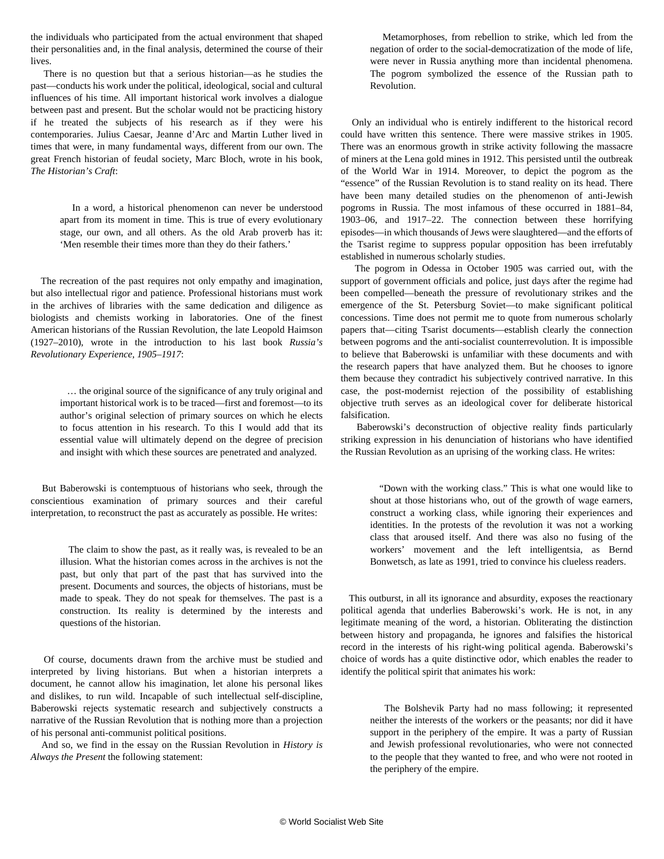the individuals who participated from the actual environment that shaped their personalities and, in the final analysis, determined the course of their lives.

 There is no question but that a serious historian—as he studies the past—conducts his work under the political, ideological, social and cultural influences of his time. All important historical work involves a dialogue between past and present. But the scholar would not be practicing history if he treated the subjects of his research as if they were his contemporaries. Julius Caesar, Jeanne d'Arc and Martin Luther lived in times that were, in many fundamental ways, different from our own. The great French historian of feudal society, Marc Bloch, wrote in his book, *The Historian's Craft*:

 In a word, a historical phenomenon can never be understood apart from its moment in time. This is true of every evolutionary stage, our own, and all others. As the old Arab proverb has it: 'Men resemble their times more than they do their fathers.'

 The recreation of the past requires not only empathy and imagination, but also intellectual rigor and patience. Professional historians must work in the archives of libraries with the same dedication and diligence as biologists and chemists working in laboratories. One of the finest American historians of the Russian Revolution, the late Leopold Haimson (1927–2010), wrote in the introduction to his last book *Russia's Revolutionary Experience, 1905–1917*:

> … the original source of the significance of any truly original and important historical work is to be traced—first and foremost—to its author's original selection of primary sources on which he elects to focus attention in his research. To this I would add that its essential value will ultimately depend on the degree of precision and insight with which these sources are penetrated and analyzed.

 But Baberowski is contemptuous of historians who seek, through the conscientious examination of primary sources and their careful interpretation, to reconstruct the past as accurately as possible. He writes:

> The claim to show the past, as it really was, is revealed to be an illusion. What the historian comes across in the archives is not the past, but only that part of the past that has survived into the present. Documents and sources, the objects of historians, must be made to speak. They do not speak for themselves. The past is a construction. Its reality is determined by the interests and questions of the historian.

 Of course, documents drawn from the archive must be studied and interpreted by living historians. But when a historian interprets a document, he cannot allow his imagination, let alone his personal likes and dislikes, to run wild. Incapable of such intellectual self-discipline, Baberowski rejects systematic research and subjectively constructs a narrative of the Russian Revolution that is nothing more than a projection of his personal anti-communist political positions.

 And so, we find in the essay on the Russian Revolution in *History is Always the Present* the following statement:

 Metamorphoses, from rebellion to strike, which led from the negation of order to the social-democratization of the mode of life, were never in Russia anything more than incidental phenomena. The pogrom symbolized the essence of the Russian path to Revolution.

 Only an individual who is entirely indifferent to the historical record could have written this sentence. There were massive strikes in 1905. There was an enormous growth in strike activity following the massacre of miners at the Lena gold mines in 1912. This persisted until the outbreak of the World War in 1914. Moreover, to depict the pogrom as the "essence" of the Russian Revolution is to stand reality on its head. There have been many detailed studies on the phenomenon of anti-Jewish pogroms in Russia. The most infamous of these occurred in 1881–84, 1903–06, and 1917–22. The connection between these horrifying episodes—in which thousands of Jews were slaughtered—and the efforts of the Tsarist regime to suppress popular opposition has been irrefutably established in numerous scholarly studies.

 The pogrom in Odessa in October 1905 was carried out, with the support of government officials and police, just days after the regime had been compelled—beneath the pressure of revolutionary strikes and the emergence of the St. Petersburg Soviet—to make significant political concessions. Time does not permit me to quote from numerous scholarly papers that—citing Tsarist documents—establish clearly the connection between pogroms and the anti-socialist counterrevolution. It is impossible to believe that Baberowski is unfamiliar with these documents and with the research papers that have analyzed them. But he chooses to ignore them because they contradict his subjectively contrived narrative. In this case, the post-modernist rejection of the possibility of establishing objective truth serves as an ideological cover for deliberate historical falsification.

 Baberowski's deconstruction of objective reality finds particularly striking expression in his denunciation of historians who have identified the Russian Revolution as an uprising of the working class. He writes:

 "Down with the working class." This is what one would like to shout at those historians who, out of the growth of wage earners, construct a working class, while ignoring their experiences and identities. In the protests of the revolution it was not a working class that aroused itself. And there was also no fusing of the workers' movement and the left intelligentsia, as Bernd Bonwetsch, as late as 1991, tried to convince his clueless readers.

 This outburst, in all its ignorance and absurdity, exposes the reactionary political agenda that underlies Baberowski's work. He is not, in any legitimate meaning of the word, a historian. Obliterating the distinction between history and propaganda, he ignores and falsifies the historical record in the interests of his right-wing political agenda. Baberowski's choice of words has a quite distinctive odor, which enables the reader to identify the political spirit that animates his work:

 The Bolshevik Party had no mass following; it represented neither the interests of the workers or the peasants; nor did it have support in the periphery of the empire. It was a party of Russian and Jewish professional revolutionaries, who were not connected to the people that they wanted to free, and who were not rooted in the periphery of the empire.